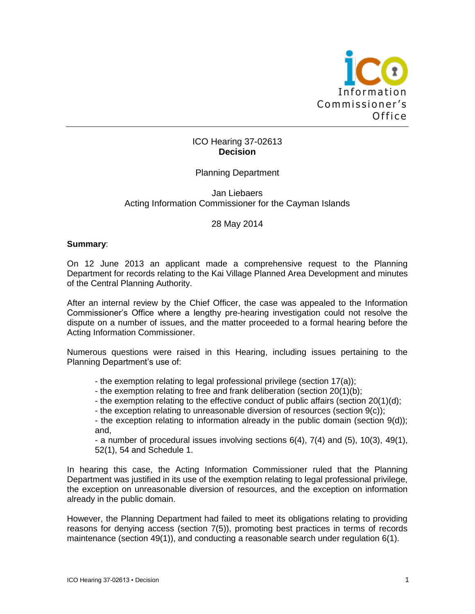

# ICO Hearing 37-02613 **Decision**

# Planning Department

### Jan Liebaers Acting Information Commissioner for the Cayman Islands

### 28 May 2014

#### **Summary**:

On 12 June 2013 an applicant made a comprehensive request to the Planning Department for records relating to the Kai Village Planned Area Development and minutes of the Central Planning Authority.

After an internal review by the Chief Officer, the case was appealed to the Information Commissioner's Office where a lengthy pre-hearing investigation could not resolve the dispute on a number of issues, and the matter proceeded to a formal hearing before the Acting Information Commissioner.

Numerous questions were raised in this Hearing, including issues pertaining to the Planning Department's use of:

- the exemption relating to legal professional privilege (section 17(a));

- the exemption relating to free and frank deliberation (section 20(1)(b);

- the exemption relating to the effective conduct of public affairs (section 20(1)(d);

- the exception relating to unreasonable diversion of resources (section 9(c));

- the exception relating to information already in the public domain (section 9(d)); and,

- a number of procedural issues involving sections 6(4), 7(4) and (5), 10(3), 49(1), 52(1), 54 and Schedule 1.

In hearing this case, the Acting Information Commissioner ruled that the Planning Department was justified in its use of the exemption relating to legal professional privilege, the exception on unreasonable diversion of resources, and the exception on information already in the public domain.

However, the Planning Department had failed to meet its obligations relating to providing reasons for denying access (section 7(5)), promoting best practices in terms of records maintenance (section 49(1)), and conducting a reasonable search under regulation 6(1).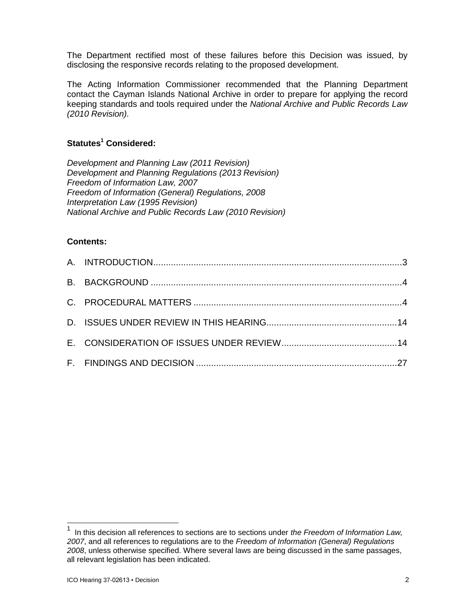The Department rectified most of these failures before this Decision was issued, by disclosing the responsive records relating to the proposed development.

The Acting Information Commissioner recommended that the Planning Department contact the Cayman Islands National Archive in order to prepare for applying the record keeping standards and tools required under the *National Archive and Public Records Law (2010 Revision).*

# **Statutes<sup>1</sup> Considered:**

*Development and Planning Law (2011 Revision) Development and Planning Regulations (2013 Revision) Freedom of Information Law, 2007 Freedom of Information (General) Regulations, 2008 Interpretation Law (1995 Revision) National Archive and Public Records Law (2010 Revision)*

# **Contents:**

l

<sup>1</sup> In this decision all references to sections are to sections under *the Freedom of Information Law, 2007*, and all references to regulations are to the *Freedom of Information (General) Regulations 2008*, unless otherwise specified. Where several laws are being discussed in the same passages, all relevant legislation has been indicated.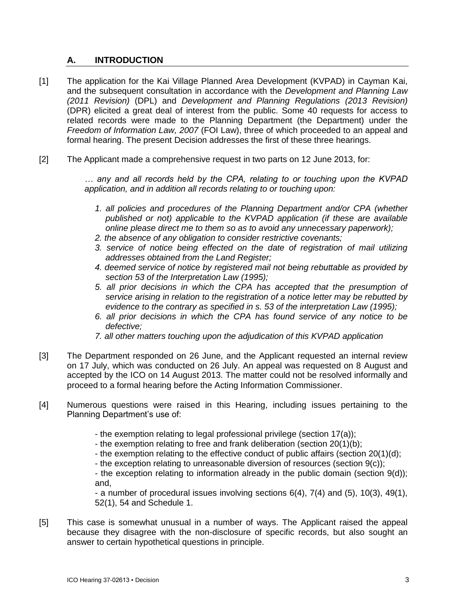# **A. INTRODUCTION**

- [1] The application for the Kai Village Planned Area Development (KVPAD) in Cayman Kai, and the subsequent consultation in accordance with the *Development and Planning Law (2011 Revision)* (DPL) and *Development and Planning Regulations (2013 Revision)* (DPR) elicited a great deal of interest from the public. Some 40 requests for access to related records were made to the Planning Department (the Department) under the *Freedom of Information Law, 2007* (FOI Law), three of which proceeded to an appeal and formal hearing. The present Decision addresses the first of these three hearings.
- [2] The Applicant made a comprehensive request in two parts on 12 June 2013, for:

*… any and all records held by the CPA, relating to or touching upon the KVPAD application, and in addition all records relating to or touching upon:*

- *1. all policies and procedures of the Planning Department and/or CPA (whether published or not) applicable to the KVPAD application (if these are available online please direct me to them so as to avoid any unnecessary paperwork);*
- *2. the absence of any obligation to consider restrictive covenants;*
- *3. service of notice being effected on the date of registration of mail utilizing addresses obtained from the Land Register;*
- *4. deemed service of notice by registered mail not being rebuttable as provided by section 53 of the Interpretation Law (1995);*
- *5. all prior decisions in which the CPA has accepted that the presumption of service arising in relation to the registration of a notice letter may be rebutted by evidence to the contrary as specified in s. 53 of the interpretation Law (1995);*
- *6. all prior decisions in which the CPA has found service of any notice to be defective;*
- *7. all other matters touching upon the adjudication of this KVPAD application*
- [3] The Department responded on 26 June, and the Applicant requested an internal review on 17 July, which was conducted on 26 July. An appeal was requested on 8 August and accepted by the ICO on 14 August 2013. The matter could not be resolved informally and proceed to a formal hearing before the Acting Information Commissioner.
- [4] Numerous questions were raised in this Hearing, including issues pertaining to the Planning Department's use of:
	- the exemption relating to legal professional privilege (section 17(a));
	- the exemption relating to free and frank deliberation (section 20(1)(b);
	- the exemption relating to the effective conduct of public affairs (section 20(1)(d);
	- the exception relating to unreasonable diversion of resources (section 9(c));

- the exception relating to information already in the public domain (section 9(d)); and,

- a number of procedural issues involving sections 6(4), 7(4) and (5), 10(3), 49(1), 52(1), 54 and Schedule 1.

[5] This case is somewhat unusual in a number of ways. The Applicant raised the appeal because they disagree with the non-disclosure of specific records, but also sought an answer to certain hypothetical questions in principle.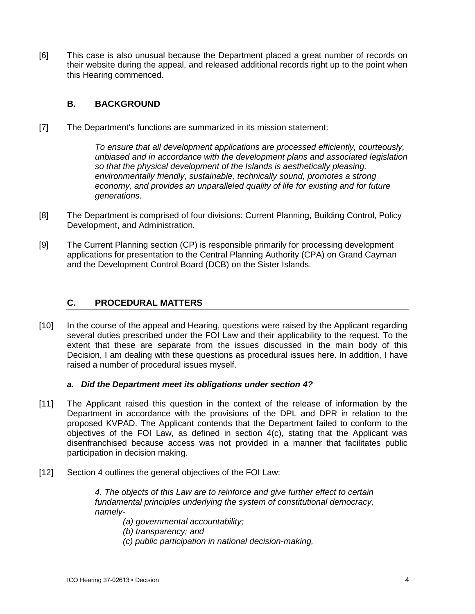[6] This case is also unusual because the Department placed a great number of records on their website during the appeal, and released additional records right up to the point when this Hearing commenced.

# **B. BACKGROUND**

[7] The Department's functions are summarized in its mission statement:

*To ensure that all development applications are processed efficiently, courteously, unbiased and in accordance with the development plans and associated legislation so that the physical development of the Islands is aesthetically pleasing, environmentally friendly, sustainable, technically sound, promotes a strong economy, and provides an unparalleled quality of life for existing and for future generations.*

- [8] The Department is comprised of four divisions: Current Planning, Building Control, Policy Development, and Administration.
- [9] The Current Planning section (CP) is responsible primarily for processing development applications for presentation to the Central Planning Authority (CPA) on Grand Cayman and the Development Control Board (DCB) on the Sister Islands.

# **C. PROCEDURAL MATTERS**

[10] In the course of the appeal and Hearing, questions were raised by the Applicant regarding several duties prescribed under the FOI Law and their applicability to the request. To the extent that these are separate from the issues discussed in the main body of this Decision, I am dealing with these questions as procedural issues here. In addition, I have raised a number of procedural issues myself.

### *a. Did the Department meet its obligations under section 4?*

- [11] The Applicant raised this question in the context of the release of information by the Department in accordance with the provisions of the DPL and DPR in relation to the proposed KVPAD. The Applicant contends that the Department failed to conform to the objectives of the FOI Law, as defined in section 4(c), stating that the Applicant was disenfranchised because access was not provided in a manner that facilitates public participation in decision making.
- [12] Section 4 outlines the general objectives of the FOI Law:

*4. The objects of this Law are to reinforce and give further effect to certain fundamental principles underlying the system of constitutional democracy, namely-*

*(a) governmental accountability;*

- *(b) transparency; and*
- *(c) public participation in national decision-making,*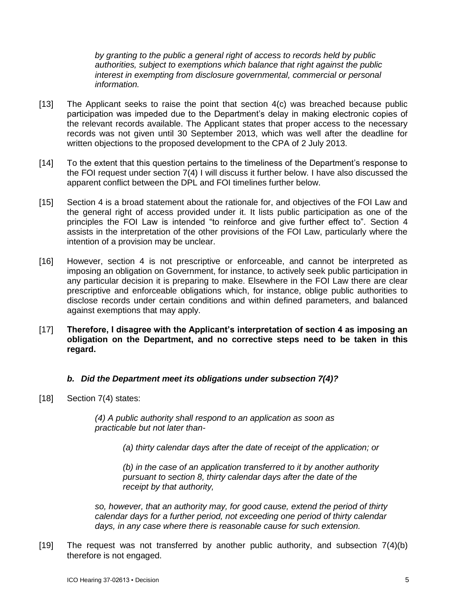*by granting to the public a general right of access to records held by public authorities, subject to exemptions which balance that right against the public interest in exempting from disclosure governmental, commercial or personal information.*

- [13] The Applicant seeks to raise the point that section 4(c) was breached because public participation was impeded due to the Department's delay in making electronic copies of the relevant records available. The Applicant states that proper access to the necessary records was not given until 30 September 2013, which was well after the deadline for written objections to the proposed development to the CPA of 2 July 2013.
- [14] To the extent that this question pertains to the timeliness of the Department's response to the FOI request under section 7(4) I will discuss it further below. I have also discussed the apparent conflict between the DPL and FOI timelines further below.
- [15] Section 4 is a broad statement about the rationale for, and objectives of the FOI Law and the general right of access provided under it. It lists public participation as one of the principles the FOI Law is intended "to reinforce and give further effect to". Section 4 assists in the interpretation of the other provisions of the FOI Law, particularly where the intention of a provision may be unclear.
- [16] However, section 4 is not prescriptive or enforceable, and cannot be interpreted as imposing an obligation on Government, for instance, to actively seek public participation in any particular decision it is preparing to make. Elsewhere in the FOI Law there are clear prescriptive and enforceable obligations which, for instance, oblige public authorities to disclose records under certain conditions and within defined parameters, and balanced against exemptions that may apply.
- [17] **Therefore, I disagree with the Applicant's interpretation of section 4 as imposing an obligation on the Department, and no corrective steps need to be taken in this regard.**

# *b. Did the Department meet its obligations under subsection 7(4)?*

[18] Section 7(4) states:

*(4) A public authority shall respond to an application as soon as practicable but not later than-*

*(a) thirty calendar days after the date of receipt of the application; or*

*(b) in the case of an application transferred to it by another authority pursuant to section 8, thirty calendar days after the date of the receipt by that authority,*

*so, however, that an authority may, for good cause, extend the period of thirty calendar days for a further period, not exceeding one period of thirty calendar days, in any case where there is reasonable cause for such extension.*

[19] The request was not transferred by another public authority, and subsection 7(4)(b) therefore is not engaged.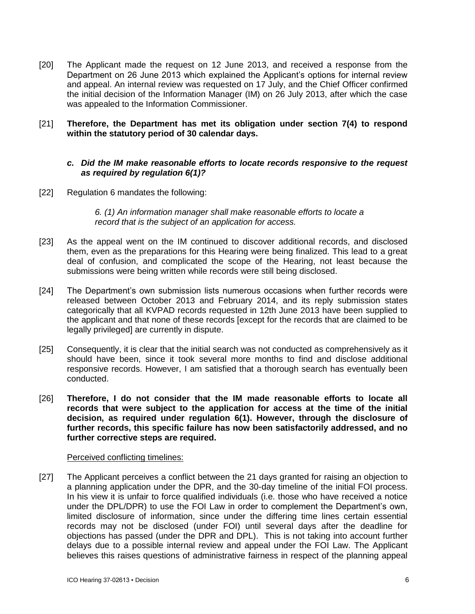[20] The Applicant made the request on 12 June 2013, and received a response from the Department on 26 June 2013 which explained the Applicant's options for internal review and appeal. An internal review was requested on 17 July, and the Chief Officer confirmed the initial decision of the Information Manager (IM) on 26 July 2013, after which the case was appealed to the Information Commissioner.

### [21] **Therefore, the Department has met its obligation under section 7(4) to respond within the statutory period of 30 calendar days.**

# *c. Did the IM make reasonable efforts to locate records responsive to the request as required by regulation 6(1)?*

[22] Regulation 6 mandates the following:

*6. (1) An information manager shall make reasonable efforts to locate a record that is the subject of an application for access.*

- [23] As the appeal went on the IM continued to discover additional records, and disclosed them, even as the preparations for this Hearing were being finalized. This lead to a great deal of confusion, and complicated the scope of the Hearing, not least because the submissions were being written while records were still being disclosed.
- [24] The Department's own submission lists numerous occasions when further records were released between October 2013 and February 2014, and its reply submission states categorically that all KVPAD records requested in 12th June 2013 have been supplied to the applicant and that none of these records [except for the records that are claimed to be legally privileged] are currently in dispute.
- [25] Consequently, it is clear that the initial search was not conducted as comprehensively as it should have been, since it took several more months to find and disclose additional responsive records. However, I am satisfied that a thorough search has eventually been conducted.
- [26] **Therefore, I do not consider that the IM made reasonable efforts to locate all records that were subject to the application for access at the time of the initial decision, as required under regulation 6(1). However, through the disclosure of further records, this specific failure has now been satisfactorily addressed, and no further corrective steps are required.**

### Perceived conflicting timelines:

[27] The Applicant perceives a conflict between the 21 days granted for raising an objection to a planning application under the DPR, and the 30-day timeline of the initial FOI process. In his view it is unfair to force qualified individuals (i.e. those who have received a notice under the DPL/DPR) to use the FOI Law in order to complement the Department's own, limited disclosure of information, since under the differing time lines certain essential records may not be disclosed (under FOI) until several days after the deadline for objections has passed (under the DPR and DPL). This is not taking into account further delays due to a possible internal review and appeal under the FOI Law. The Applicant believes this raises questions of administrative fairness in respect of the planning appeal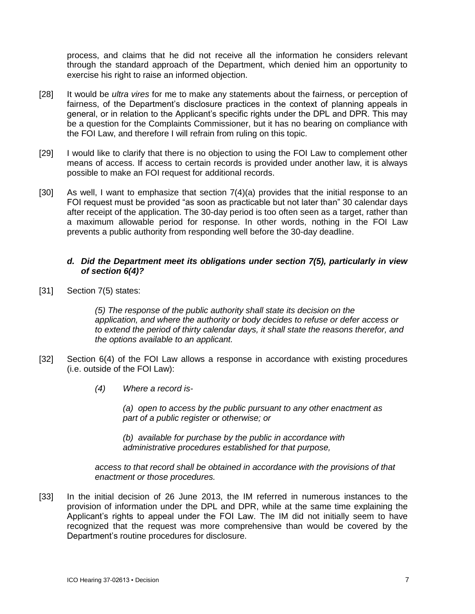process, and claims that he did not receive all the information he considers relevant through the standard approach of the Department, which denied him an opportunity to exercise his right to raise an informed objection.

- [28] It would be *ultra vires* for me to make any statements about the fairness, or perception of fairness, of the Department's disclosure practices in the context of planning appeals in general, or in relation to the Applicant's specific rights under the DPL and DPR. This may be a question for the Complaints Commissioner, but it has no bearing on compliance with the FOI Law, and therefore I will refrain from ruling on this topic.
- [29] I would like to clarify that there is no objection to using the FOI Law to complement other means of access. If access to certain records is provided under another law, it is always possible to make an FOI request for additional records.
- [30] As well, I want to emphasize that section 7(4)(a) provides that the initial response to an FOI request must be provided "as soon as practicable but not later than" 30 calendar days after receipt of the application. The 30-day period is too often seen as a target, rather than a maximum allowable period for response. In other words, nothing in the FOI Law prevents a public authority from responding well before the 30-day deadline.

### *d. Did the Department meet its obligations under section 7(5), particularly in view of section 6(4)?*

[31] Section 7(5) states:

*(5) The response of the public authority shall state its decision on the application, and where the authority or body decides to refuse or defer access or to extend the period of thirty calendar days, it shall state the reasons therefor, and the options available to an applicant.*

- [32] Section 6(4) of the FOI Law allows a response in accordance with existing procedures (i.e. outside of the FOI Law):
	- *(4) Where a record is-*

*(a) open to access by the public pursuant to any other enactment as part of a public register or otherwise; or*

*(b) available for purchase by the public in accordance with administrative procedures established for that purpose,*

*access to that record shall be obtained in accordance with the provisions of that enactment or those procedures.*

[33] In the initial decision of 26 June 2013, the IM referred in numerous instances to the provision of information under the DPL and DPR, while at the same time explaining the Applicant's rights to appeal under the FOI Law. The IM did not initially seem to have recognized that the request was more comprehensive than would be covered by the Department's routine procedures for disclosure.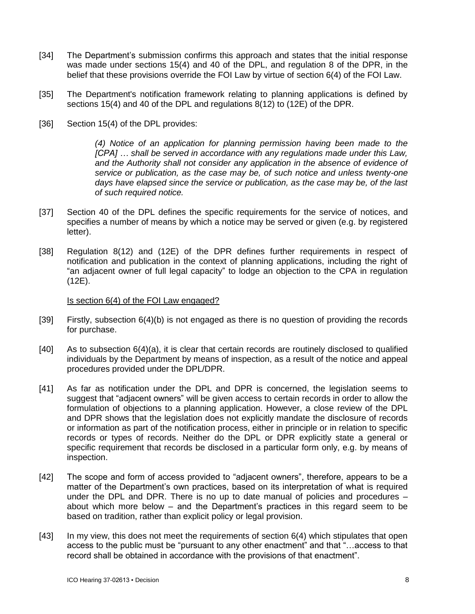- [34] The Department's submission confirms this approach and states that the initial response was made under sections 15(4) and 40 of the DPL, and regulation 8 of the DPR, in the belief that these provisions override the FOI Law by virtue of section 6(4) of the FOI Law.
- [35] The Department's notification framework relating to planning applications is defined by sections 15(4) and 40 of the DPL and regulations 8(12) to (12E) of the DPR.
- [36] Section 15(4) of the DPL provides:

*(4) Notice of an application for planning permission having been made to the [CPA] … shall be served in accordance with any regulations made under this Law,*  and the Authority shall not consider any application in the absence of evidence of *service or publication, as the case may be, of such notice and unless twenty-one days have elapsed since the service or publication, as the case may be, of the last of such required notice.* 

- [37] Section 40 of the DPL defines the specific requirements for the service of notices, and specifies a number of means by which a notice may be served or given (e.g. by registered letter).
- [38] Regulation 8(12) and (12E) of the DPR defines further requirements in respect of notification and publication in the context of planning applications, including the right of "an adjacent owner of full legal capacity" to lodge an objection to the CPA in regulation (12E).

#### Is section 6(4) of the FOI Law engaged?

- [39] Firstly, subsection 6(4)(b) is not engaged as there is no question of providing the records for purchase.
- [40] As to subsection 6(4)(a), it is clear that certain records are routinely disclosed to qualified individuals by the Department by means of inspection, as a result of the notice and appeal procedures provided under the DPL/DPR.
- [41] As far as notification under the DPL and DPR is concerned, the legislation seems to suggest that "adjacent owners" will be given access to certain records in order to allow the formulation of objections to a planning application. However, a close review of the DPL and DPR shows that the legislation does not explicitly mandate the disclosure of records or information as part of the notification process, either in principle or in relation to specific records or types of records. Neither do the DPL or DPR explicitly state a general or specific requirement that records be disclosed in a particular form only, e.g. by means of inspection.
- [42] The scope and form of access provided to "adjacent owners", therefore, appears to be a matter of the Department's own practices, based on its interpretation of what is required under the DPL and DPR. There is no up to date manual of policies and procedures – about which more below – and the Department's practices in this regard seem to be based on tradition, rather than explicit policy or legal provision.
- [43] In my view, this does not meet the requirements of section 6(4) which stipulates that open access to the public must be "pursuant to any other enactment" and that "…access to that record shall be obtained in accordance with the provisions of that enactment".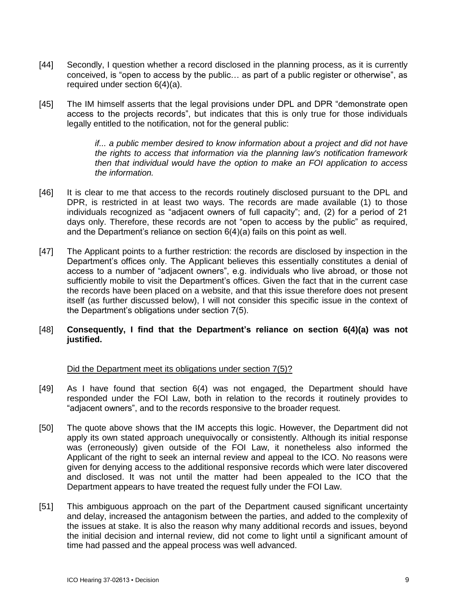- [44] Secondly, I question whether a record disclosed in the planning process, as it is currently conceived, is "open to access by the public… as part of a public register or otherwise", as required under section 6(4)(a).
- [45] The IM himself asserts that the legal provisions under DPL and DPR "demonstrate open access to the projects records", but indicates that this is only true for those individuals legally entitled to the notification, not for the general public:

*if... a public member desired to know information about a project and did not have the rights to access that information via the planning law's notification framework then that individual would have the option to make an FOI application to access the information.*

- [46] It is clear to me that access to the records routinely disclosed pursuant to the DPL and DPR, is restricted in at least two ways. The records are made available (1) to those individuals recognized as "adjacent owners of full capacity"; and, (2) for a period of 21 days only. Therefore, these records are not "open to access by the public" as required, and the Department's reliance on section 6(4)(a) fails on this point as well.
- [47] The Applicant points to a further restriction: the records are disclosed by inspection in the Department's offices only. The Applicant believes this essentially constitutes a denial of access to a number of "adjacent owners", e.g. individuals who live abroad, or those not sufficiently mobile to visit the Department's offices. Given the fact that in the current case the records have been placed on a website, and that this issue therefore does not present itself (as further discussed below), I will not consider this specific issue in the context of the Department's obligations under section 7(5).

# [48] **Consequently, I find that the Department's reliance on section 6(4)(a) was not justified.**

### Did the Department meet its obligations under section 7(5)?

- [49] As I have found that section 6(4) was not engaged, the Department should have responded under the FOI Law, both in relation to the records it routinely provides to "adjacent owners", and to the records responsive to the broader request.
- [50] The quote above shows that the IM accepts this logic. However, the Department did not apply its own stated approach unequivocally or consistently. Although its initial response was (erroneously) given outside of the FOI Law, it nonetheless also informed the Applicant of the right to seek an internal review and appeal to the ICO. No reasons were given for denying access to the additional responsive records which were later discovered and disclosed. It was not until the matter had been appealed to the ICO that the Department appears to have treated the request fully under the FOI Law.
- [51] This ambiguous approach on the part of the Department caused significant uncertainty and delay, increased the antagonism between the parties, and added to the complexity of the issues at stake. It is also the reason why many additional records and issues, beyond the initial decision and internal review, did not come to light until a significant amount of time had passed and the appeal process was well advanced.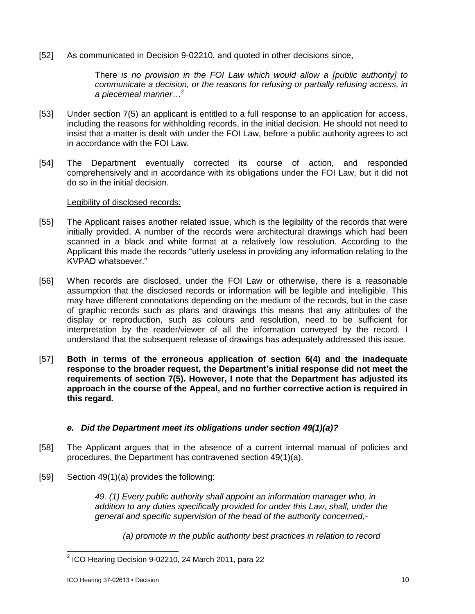[52] As communicated in Decision 9-02210, and quoted in other decisions since,

There *is no provision in the FOI Law which would allow a [public authority] to communicate a decision, or the reasons for refusing or partially refusing access, in a piecemeal manner…<sup>2</sup>*

- [53] Under section 7(5) an applicant is entitled to a full response to an application for access, including the reasons for withholding records, in the initial decision. He should not need to insist that a matter is dealt with under the FOI Law, before a public authority agrees to act in accordance with the FOI Law.
- [54] The Department eventually corrected its course of action, and responded comprehensively and in accordance with its obligations under the FOI Law, but it did not do so in the initial decision.

### Legibility of disclosed records:

- [55] The Applicant raises another related issue, which is the legibility of the records that were initially provided. A number of the records were architectural drawings which had been scanned in a black and white format at a relatively low resolution. According to the Applicant this made the records "utterly useless in providing any information relating to the KVPAD whatsoever."
- [56] When records are disclosed, under the FOI Law or otherwise, there is a reasonable assumption that the disclosed records or information will be legible and intelligible. This may have different connotations depending on the medium of the records, but in the case of graphic records such as plans and drawings this means that any attributes of the display or reproduction, such as colours and resolution, need to be sufficient for interpretation by the reader/viewer of all the information conveyed by the record. I understand that the subsequent release of drawings has adequately addressed this issue.
- [57] **Both in terms of the erroneous application of section 6(4) and the inadequate response to the broader request, the Department's initial response did not meet the requirements of section 7(5). However, I note that the Department has adjusted its approach in the course of the Appeal, and no further corrective action is required in this regard.**

# *e. Did the Department meet its obligations under section 49(1)(a)?*

- [58] The Applicant argues that in the absence of a current internal manual of policies and procedures, the Department has contravened section 49(1)(a).
- [59] Section 49(1)(a) provides the following:

*49. (1) Every public authority shall appoint an information manager who, in addition to any duties specifically provided for under this Law, shall, under the general and specific supervision of the head of the authority concerned,-*

*(a) promote in the public authority best practices in relation to record*

 2 ICO Hearing Decision 9-02210, 24 March 2011, para 22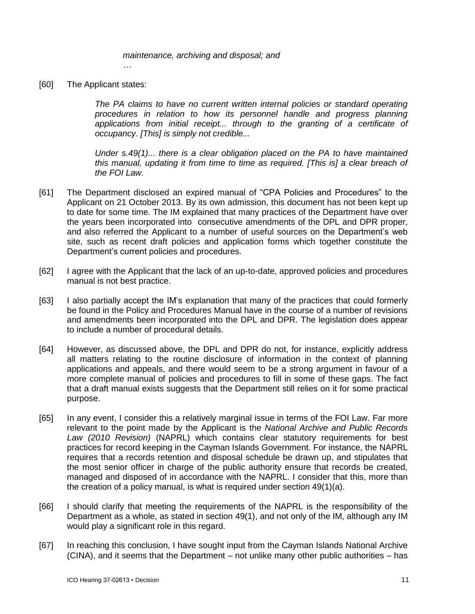*maintenance, archiving and disposal; and*

[60] The Applicant states:

*…*

*The PA claims to have no current written internal policies or standard operating procedures in relation to how its personnel handle and progress planning*  applications from initial receipt... through to the granting of a certificate of *occupancy. [This] is simply not credible...*

*Under s.49(1)... there is a clear obligation placed on the PA to have maintained this manual, updating it from time to time as required. [This is] a clear breach of the FOI Law.* 

- [61] The Department disclosed an expired manual of "CPA Policies and Procedures" to the Applicant on 21 October 2013. By its own admission, this document has not been kept up to date for some time. The IM explained that many practices of the Department have over the years been incorporated into consecutive amendments of the DPL and DPR proper, and also referred the Applicant to a number of useful sources on the Department's web site, such as recent draft policies and application forms which together constitute the Department's current policies and procedures.
- [62] I agree with the Applicant that the lack of an up-to-date, approved policies and procedures manual is not best practice.
- [63] I also partially accept the IM's explanation that many of the practices that could formerly be found in the Policy and Procedures Manual have in the course of a number of revisions and amendments been incorporated into the DPL and DPR. The legislation does appear to include a number of procedural details.
- [64] However, as discussed above, the DPL and DPR do not, for instance, explicitly address all matters relating to the routine disclosure of information in the context of planning applications and appeals, and there would seem to be a strong argument in favour of a more complete manual of policies and procedures to fill in some of these gaps. The fact that a draft manual exists suggests that the Department still relies on it for some practical purpose.
- [65] In any event, I consider this a relatively marginal issue in terms of the FOI Law. Far more relevant to the point made by the Applicant is the *National Archive and Public Records Law (2010 Revision)* (NAPRL) which contains clear statutory requirements for best practices for record keeping in the Cayman Islands Government. For instance, the NAPRL requires that a records retention and disposal schedule be drawn up, and stipulates that the most senior officer in charge of the public authority ensure that records be created, managed and disposed of in accordance with the NAPRL. I consider that this, more than the creation of a policy manual, is what is required under section 49(1)(a).
- [66] I should clarify that meeting the requirements of the NAPRL is the responsibility of the Department as a whole, as stated in section 49(1), and not only of the IM, although any IM would play a significant role in this regard.
- [67] In reaching this conclusion, I have sought input from the Cayman Islands National Archive (CINA), and it seems that the Department – not unlike many other public authorities – has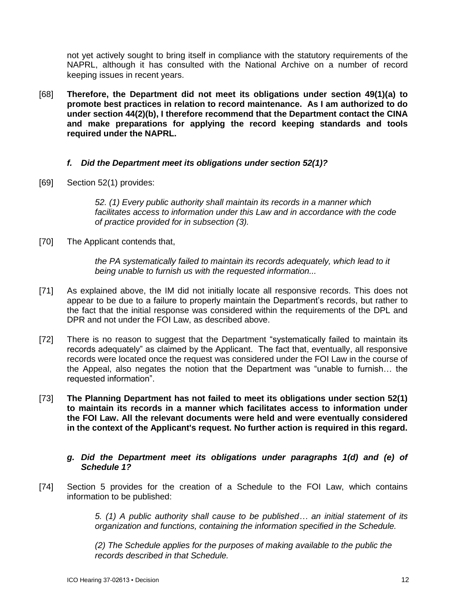not yet actively sought to bring itself in compliance with the statutory requirements of the NAPRL, although it has consulted with the National Archive on a number of record keeping issues in recent years.

[68] **Therefore, the Department did not meet its obligations under section 49(1)(a) to promote best practices in relation to record maintenance. As I am authorized to do under section 44(2)(b), I therefore recommend that the Department contact the CINA and make preparations for applying the record keeping standards and tools required under the NAPRL.**

# *f. Did the Department meet its obligations under section 52(1)?*

[69] Section 52(1) provides:

*52. (1) Every public authority shall maintain its records in a manner which facilitates access to information under this Law and in accordance with the code of practice provided for in subsection (3).*

[70] The Applicant contends that,

*the PA systematically failed to maintain its records adequately, which lead to it being unable to furnish us with the requested information...*

- [71] As explained above, the IM did not initially locate all responsive records. This does not appear to be due to a failure to properly maintain the Department's records, but rather to the fact that the initial response was considered within the requirements of the DPL and DPR and not under the FOI Law, as described above.
- [72] There is no reason to suggest that the Department "systematically failed to maintain its records adequately" as claimed by the Applicant. The fact that, eventually, all responsive records were located once the request was considered under the FOI Law in the course of the Appeal, also negates the notion that the Department was "unable to furnish… the requested information".
- [73] **The Planning Department has not failed to meet its obligations under section 52(1) to maintain its records in a manner which facilitates access to information under the FOI Law. All the relevant documents were held and were eventually considered in the context of the Applicant's request. No further action is required in this regard.**

# *g. Did the Department meet its obligations under paragraphs 1(d) and (e) of Schedule 1?*

[74] Section 5 provides for the creation of a Schedule to the FOI Law, which contains information to be published:

> *5. (1) A public authority shall cause to be published… an initial statement of its organization and functions, containing the information specified in the Schedule.*

*(2) The Schedule applies for the purposes of making available to the public the records described in that Schedule.*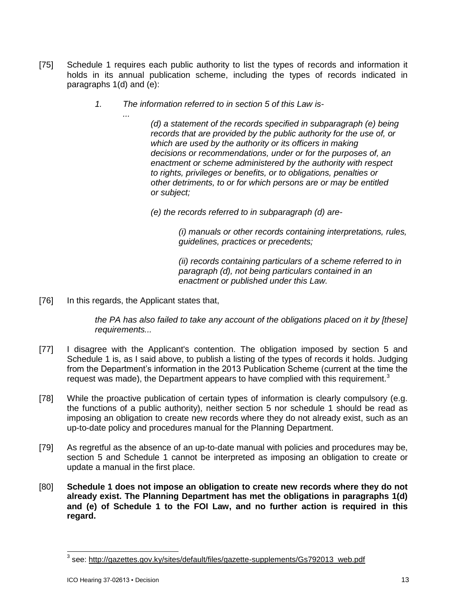- [75] Schedule 1 requires each public authority to list the types of records and information it holds in its annual publication scheme, including the types of records indicated in paragraphs 1(d) and (e):
	- *1. The information referred to in section 5 of this Law is-*

*(d) a statement of the records specified in subparagraph (e) being records that are provided by the public authority for the use of, or which are used by the authority or its officers in making decisions or recommendations, under or for the purposes of, an enactment or scheme administered by the authority with respect to rights, privileges or benefits, or to obligations, penalties or other detriments, to or for which persons are or may be entitled or subject;*

*(e) the records referred to in subparagraph (d) are-*

*(i) manuals or other records containing interpretations, rules, guidelines, practices or precedents;*

*(ii) records containing particulars of a scheme referred to in paragraph (d), not being particulars contained in an enactment or published under this Law.*

[76] In this regards, the Applicant states that,

*...*

*the PA has also failed to take any account of the obligations placed on it by [these] requirements...*

- [77] I disagree with the Applicant's contention. The obligation imposed by section 5 and Schedule 1 is, as I said above, to publish a listing of the types of records it holds. Judging from the Department's information in the 2013 Publication Scheme (current at the time the request was made), the Department appears to have complied with this requirement.<sup>3</sup>
- [78] While the proactive publication of certain types of information is clearly compulsory (e.g. the functions of a public authority), neither section 5 nor schedule 1 should be read as imposing an obligation to create new records where they do not already exist, such as an up-to-date policy and procedures manual for the Planning Department.
- [79] As regretful as the absence of an up-to-date manual with policies and procedures may be, section 5 and Schedule 1 cannot be interpreted as imposing an obligation to create or update a manual in the first place.
- [80] **Schedule 1 does not impose an obligation to create new records where they do not already exist. The Planning Department has met the obligations in paragraphs 1(d) and (e) of Schedule 1 to the FOI Law, and no further action is required in this regard.**

 3 see: [http://gazettes.gov.ky/sites/default/files/gazette-supplements/Gs792013\\_web.pdf](http://gazettes.gov.ky/sites/default/files/gazette-supplements/Gs792013_web.pdf)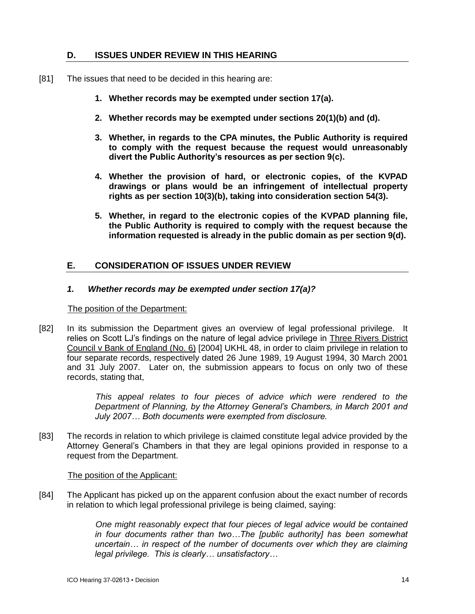# **D. ISSUES UNDER REVIEW IN THIS HEARING**

- [81] The issues that need to be decided in this hearing are:
	- **1. Whether records may be exempted under section 17(a).**
	- **2. Whether records may be exempted under sections 20(1)(b) and (d).**
	- **3. Whether, in regards to the CPA minutes, the Public Authority is required to comply with the request because the request would unreasonably divert the Public Authority's resources as per section 9(c).**
	- **4. Whether the provision of hard, or electronic copies, of the KVPAD drawings or plans would be an infringement of intellectual property rights as per section 10(3)(b), taking into consideration section 54(3).**
	- **5. Whether, in regard to the electronic copies of the KVPAD planning file, the Public Authority is required to comply with the request because the information requested is already in the public domain as per section 9(d).**

# **E. CONSIDERATION OF ISSUES UNDER REVIEW**

# *1. Whether records may be exempted under section 17(a)?*

### The position of the Department:

[82] In its submission the Department gives an overview of legal professional privilege. It relies on Scott LJ's findings on the nature of legal advice privilege in Three Rivers District Council v Bank of England (No. 6) [2004] UKHL 48, in order to claim privilege in relation to four separate records, respectively dated 26 June 1989, 19 August 1994, 30 March 2001 and 31 July 2007. Later on, the submission appears to focus on only two of these records, stating that,

> *This appeal relates to four pieces of advice which were rendered to the Department of Planning, by the Attorney General's Chambers, in March 2001 and July 2007… Both documents were exempted from disclosure.*

[83] The records in relation to which privilege is claimed constitute legal advice provided by the Attorney General's Chambers in that they are legal opinions provided in response to a request from the Department.

### The position of the Applicant:

[84] The Applicant has picked up on the apparent confusion about the exact number of records in relation to which legal professional privilege is being claimed, saying:

> *One might reasonably expect that four pieces of legal advice would be contained in four documents rather than two…The [public authority] has been somewhat uncertain… in respect of the number of documents over which they are claiming legal privilege. This is clearly… unsatisfactory…*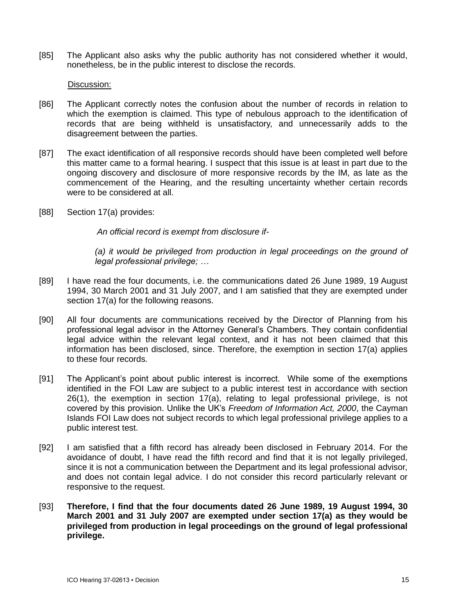[85] The Applicant also asks why the public authority has not considered whether it would, nonetheless, be in the public interest to disclose the records.

### Discussion:

- [86] The Applicant correctly notes the confusion about the number of records in relation to which the exemption is claimed. This type of nebulous approach to the identification of records that are being withheld is unsatisfactory, and unnecessarily adds to the disagreement between the parties.
- [87] The exact identification of all responsive records should have been completed well before this matter came to a formal hearing. I suspect that this issue is at least in part due to the ongoing discovery and disclosure of more responsive records by the IM, as late as the commencement of the Hearing, and the resulting uncertainty whether certain records were to be considered at all.
- [88] Section 17(a) provides:

*An official record is exempt from disclosure if-*

*(a) it would be privileged from production in legal proceedings on the ground of legal professional privilege; …*

- [89] I have read the four documents, i.e. the communications dated 26 June 1989, 19 August 1994, 30 March 2001 and 31 July 2007, and I am satisfied that they are exempted under section 17(a) for the following reasons.
- [90] All four documents are communications received by the Director of Planning from his professional legal advisor in the Attorney General's Chambers. They contain confidential legal advice within the relevant legal context, and it has not been claimed that this information has been disclosed, since. Therefore, the exemption in section 17(a) applies to these four records.
- [91] The Applicant's point about public interest is incorrect. While some of the exemptions identified in the FOI Law are subject to a public interest test in accordance with section 26(1), the exemption in section 17(a), relating to legal professional privilege, is not covered by this provision. Unlike the UK's *Freedom of Information Act, 2000*, the Cayman Islands FOI Law does not subject records to which legal professional privilege applies to a public interest test.
- [92] I am satisfied that a fifth record has already been disclosed in February 2014. For the avoidance of doubt, I have read the fifth record and find that it is not legally privileged, since it is not a communication between the Department and its legal professional advisor, and does not contain legal advice. I do not consider this record particularly relevant or responsive to the request.
- [93] **Therefore, I find that the four documents dated 26 June 1989, 19 August 1994, 30 March 2001 and 31 July 2007 are exempted under section 17(a) as they would be privileged from production in legal proceedings on the ground of legal professional privilege.**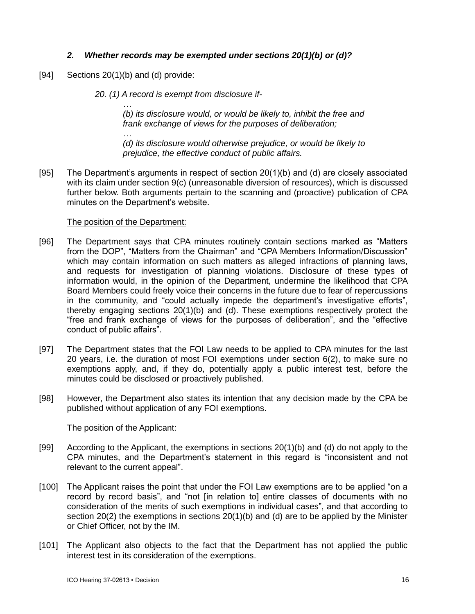# *2. Whether records may be exempted under sections 20(1)(b) or (d)?*

[94] Sections 20(1)(b) and (d) provide:

*20. (1) A record is exempt from disclosure if-*

*… (b) its disclosure would, or would be likely to, inhibit the free and frank exchange of views for the purposes of deliberation;*

*(d) its disclosure would otherwise prejudice, or would be likely to prejudice, the effective conduct of public affairs.*

[95] The Department's arguments in respect of section 20(1)(b) and (d) are closely associated with its claim under section 9(c) (unreasonable diversion of resources), which is discussed further below. Both arguments pertain to the scanning and (proactive) publication of CPA minutes on the Department's website.

### The position of the Department:

*…*

- [96] The Department says that CPA minutes routinely contain sections marked as "Matters from the DOP", "Matters from the Chairman" and "CPA Members Information/Discussion" which may contain information on such matters as alleged infractions of planning laws, and requests for investigation of planning violations. Disclosure of these types of information would, in the opinion of the Department, undermine the likelihood that CPA Board Members could freely voice their concerns in the future due to fear of repercussions in the community, and "could actually impede the department's investigative efforts", thereby engaging sections 20(1)(b) and (d). These exemptions respectively protect the "free and frank exchange of views for the purposes of deliberation", and the "effective conduct of public affairs".
- [97] The Department states that the FOI Law needs to be applied to CPA minutes for the last 20 years, i.e. the duration of most FOI exemptions under section 6(2), to make sure no exemptions apply, and, if they do, potentially apply a public interest test, before the minutes could be disclosed or proactively published.
- [98] However, the Department also states its intention that any decision made by the CPA be published without application of any FOI exemptions.

### The position of the Applicant:

- [99] According to the Applicant, the exemptions in sections 20(1)(b) and (d) do not apply to the CPA minutes, and the Department's statement in this regard is "inconsistent and not relevant to the current appeal".
- [100] The Applicant raises the point that under the FOI Law exemptions are to be applied "on a record by record basis", and "not [in relation to] entire classes of documents with no consideration of the merits of such exemptions in individual cases", and that according to section 20(2) the exemptions in sections 20(1)(b) and (d) are to be applied by the Minister or Chief Officer, not by the IM.
- [101] The Applicant also objects to the fact that the Department has not applied the public interest test in its consideration of the exemptions.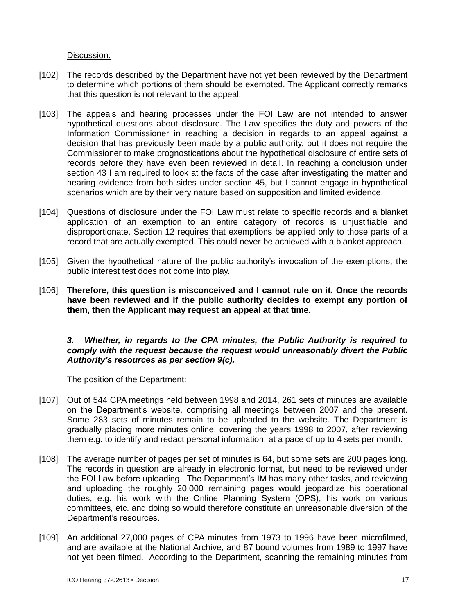# Discussion:

- [102] The records described by the Department have not yet been reviewed by the Department to determine which portions of them should be exempted. The Applicant correctly remarks that this question is not relevant to the appeal.
- [103] The appeals and hearing processes under the FOI Law are not intended to answer hypothetical questions about disclosure. The Law specifies the duty and powers of the Information Commissioner in reaching a decision in regards to an appeal against a decision that has previously been made by a public authority, but it does not require the Commissioner to make prognostications about the hypothetical disclosure of entire sets of records before they have even been reviewed in detail. In reaching a conclusion under section 43 I am required to look at the facts of the case after investigating the matter and hearing evidence from both sides under section 45, but I cannot engage in hypothetical scenarios which are by their very nature based on supposition and limited evidence.
- [104] Questions of disclosure under the FOI Law must relate to specific records and a blanket application of an exemption to an entire category of records is unjustifiable and disproportionate. Section 12 requires that exemptions be applied only to those parts of a record that are actually exempted. This could never be achieved with a blanket approach.
- [105] Given the hypothetical nature of the public authority's invocation of the exemptions, the public interest test does not come into play.
- [106] **Therefore, this question is misconceived and I cannot rule on it. Once the records have been reviewed and if the public authority decides to exempt any portion of them, then the Applicant may request an appeal at that time.**

### *3. Whether, in regards to the CPA minutes, the Public Authority is required to comply with the request because the request would unreasonably divert the Public Authority's resources as per section 9(c).*

### The position of the Department:

- [107] Out of 544 CPA meetings held between 1998 and 2014, 261 sets of minutes are available on the Department's website, comprising all meetings between 2007 and the present. Some 283 sets of minutes remain to be uploaded to the website. The Department is gradually placing more minutes online, covering the years 1998 to 2007, after reviewing them e.g. to identify and redact personal information, at a pace of up to 4 sets per month.
- [108] The average number of pages per set of minutes is 64, but some sets are 200 pages long. The records in question are already in electronic format, but need to be reviewed under the FOI Law before uploading. The Department's IM has many other tasks, and reviewing and uploading the roughly 20,000 remaining pages would jeopardize his operational duties, e.g. his work with the Online Planning System (OPS), his work on various committees, etc. and doing so would therefore constitute an unreasonable diversion of the Department's resources.
- [109] An additional 27,000 pages of CPA minutes from 1973 to 1996 have been microfilmed, and are available at the National Archive, and 87 bound volumes from 1989 to 1997 have not yet been filmed. According to the Department, scanning the remaining minutes from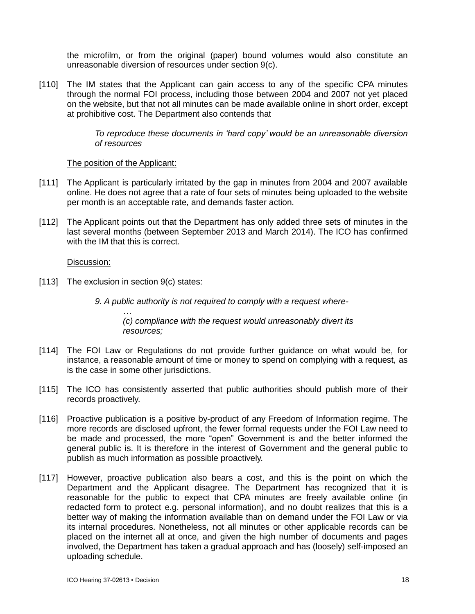the microfilm, or from the original (paper) bound volumes would also constitute an unreasonable diversion of resources under section 9(c).

[110] The IM states that the Applicant can gain access to any of the specific CPA minutes through the normal FOI process, including those between 2004 and 2007 not yet placed on the website, but that not all minutes can be made available online in short order, except at prohibitive cost. The Department also contends that

> *To reproduce these documents in 'hard copy' would be an unreasonable diversion of resources*

# The position of the Applicant:

- [111] The Applicant is particularly irritated by the gap in minutes from 2004 and 2007 available online. He does not agree that a rate of four sets of minutes being uploaded to the website per month is an acceptable rate, and demands faster action.
- [112] The Applicant points out that the Department has only added three sets of minutes in the last several months (between September 2013 and March 2014). The ICO has confirmed with the IM that this is correct.

# Discussion:

[113] The exclusion in section 9(c) states:

*9. A public authority is not required to comply with a request where-*

*… (c) compliance with the request would unreasonably divert its resources;*

- [114] The FOI Law or Regulations do not provide further guidance on what would be, for instance, a reasonable amount of time or money to spend on complying with a request, as is the case in some other jurisdictions.
- [115] The ICO has consistently asserted that public authorities should publish more of their records proactively.
- [116] Proactive publication is a positive by-product of any Freedom of Information regime. The more records are disclosed upfront, the fewer formal requests under the FOI Law need to be made and processed, the more "open" Government is and the better informed the general public is. It is therefore in the interest of Government and the general public to publish as much information as possible proactively.
- [117] However, proactive publication also bears a cost, and this is the point on which the Department and the Applicant disagree. The Department has recognized that it is reasonable for the public to expect that CPA minutes are freely available online (in redacted form to protect e.g. personal information), and no doubt realizes that this is a better way of making the information available than on demand under the FOI Law or via its internal procedures. Nonetheless, not all minutes or other applicable records can be placed on the internet all at once, and given the high number of documents and pages involved, the Department has taken a gradual approach and has (loosely) self-imposed an uploading schedule.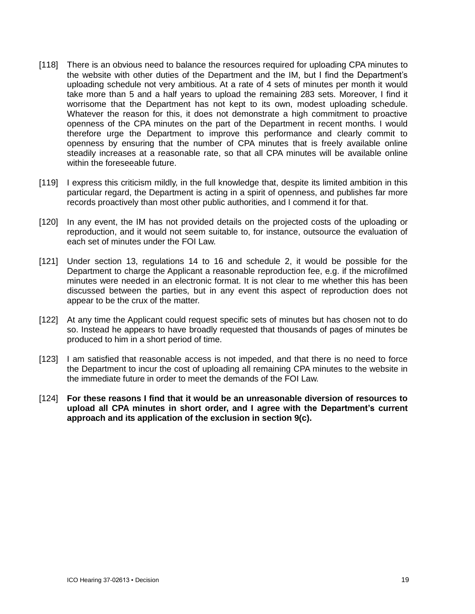- [118] There is an obvious need to balance the resources required for uploading CPA minutes to the website with other duties of the Department and the IM, but I find the Department's uploading schedule not very ambitious. At a rate of 4 sets of minutes per month it would take more than 5 and a half years to upload the remaining 283 sets. Moreover, I find it worrisome that the Department has not kept to its own, modest uploading schedule. Whatever the reason for this, it does not demonstrate a high commitment to proactive openness of the CPA minutes on the part of the Department in recent months. I would therefore urge the Department to improve this performance and clearly commit to openness by ensuring that the number of CPA minutes that is freely available online steadily increases at a reasonable rate, so that all CPA minutes will be available online within the foreseeable future.
- [119] I express this criticism mildly, in the full knowledge that, despite its limited ambition in this particular regard, the Department is acting in a spirit of openness, and publishes far more records proactively than most other public authorities, and I commend it for that.
- [120] In any event, the IM has not provided details on the projected costs of the uploading or reproduction, and it would not seem suitable to, for instance, outsource the evaluation of each set of minutes under the FOI Law.
- [121] Under section 13, regulations 14 to 16 and schedule 2, it would be possible for the Department to charge the Applicant a reasonable reproduction fee, e.g. if the microfilmed minutes were needed in an electronic format. It is not clear to me whether this has been discussed between the parties, but in any event this aspect of reproduction does not appear to be the crux of the matter.
- [122] At any time the Applicant could request specific sets of minutes but has chosen not to do so. Instead he appears to have broadly requested that thousands of pages of minutes be produced to him in a short period of time.
- [123] I am satisfied that reasonable access is not impeded, and that there is no need to force the Department to incur the cost of uploading all remaining CPA minutes to the website in the immediate future in order to meet the demands of the FOI Law.
- [124] **For these reasons I find that it would be an unreasonable diversion of resources to upload all CPA minutes in short order, and I agree with the Department's current approach and its application of the exclusion in section 9(c).**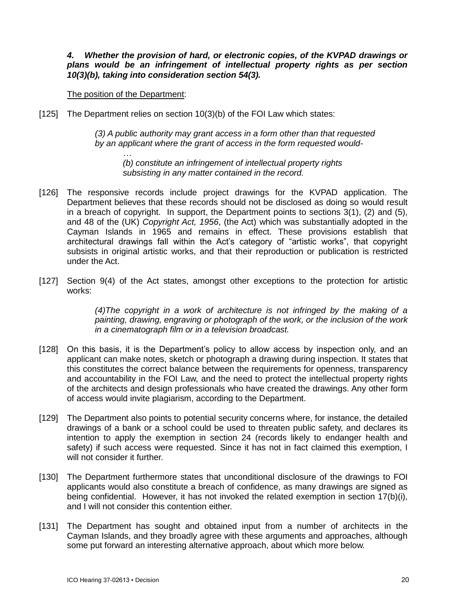*4. Whether the provision of hard, or electronic copies, of the KVPAD drawings or plans would be an infringement of intellectual property rights as per section 10(3)(b), taking into consideration section 54(3).* 

The position of the Department:

[125] The Department relies on section 10(3)(b) of the FOI Law which states:

*(3) A public authority may grant access in a form other than that requested by an applicant where the grant of access in the form requested would-*

*… (b) constitute an infringement of intellectual property rights subsisting in any matter contained in the record.*

- [126] The responsive records include project drawings for the KVPAD application. The Department believes that these records should not be disclosed as doing so would result in a breach of copyright. In support, the Department points to sections 3(1), (2) and (5), and 48 of the (UK) *Copyright Act, 1956*, (the Act) which was substantially adopted in the Cayman Islands in 1965 and remains in effect. These provisions establish that architectural drawings fall within the Act's category of "artistic works", that copyright subsists in original artistic works, and that their reproduction or publication is restricted under the Act.
- [127] Section 9(4) of the Act states, amongst other exceptions to the protection for artistic works:

*(4)The copyright in a work of architecture is not infringed by the making of a painting, drawing, engraving or photograph of the work, or the inclusion of the work in a cinematograph film or in a television broadcast.*

- [128] On this basis, it is the Department's policy to allow access by inspection only, and an applicant can make notes, sketch or photograph a drawing during inspection. It states that this constitutes the correct balance between the requirements for openness, transparency and accountability in the FOI Law, and the need to protect the intellectual property rights of the architects and design professionals who have created the drawings. Any other form of access would invite plagiarism, according to the Department.
- [129] The Department also points to potential security concerns where, for instance, the detailed drawings of a bank or a school could be used to threaten public safety, and declares its intention to apply the exemption in section 24 (records likely to endanger health and safety) if such access were requested. Since it has not in fact claimed this exemption, I will not consider it further.
- [130] The Department furthermore states that unconditional disclosure of the drawings to FOI applicants would also constitute a breach of confidence, as many drawings are signed as being confidential. However, it has not invoked the related exemption in section 17(b)(i), and I will not consider this contention either.
- [131] The Department has sought and obtained input from a number of architects in the Cayman Islands, and they broadly agree with these arguments and approaches, although some put forward an interesting alternative approach, about which more below.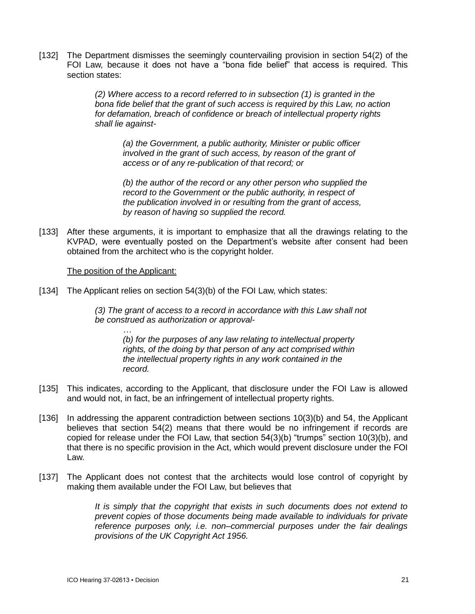[132] The Department dismisses the seemingly countervailing provision in section 54(2) of the FOI Law, because it does not have a "bona fide belief" that access is required. This section states:

> *(2) Where access to a record referred to in subsection (1) is granted in the bona fide belief that the grant of such access is required by this Law, no action for defamation, breach of confidence or breach of intellectual property rights shall lie against-*

*(a) the Government, a public authority, Minister or public officer involved in the grant of such access, by reason of the grant of access or of any re-publication of that record; or*

*(b) the author of the record or any other person who supplied the record to the Government or the public authority, in respect of the publication involved in or resulting from the grant of access, by reason of having so supplied the record.*

[133] After these arguments, it is important to emphasize that all the drawings relating to the KVPAD, were eventually posted on the Department's website after consent had been obtained from the architect who is the copyright holder.

### The position of the Applicant:

*…*

[134] The Applicant relies on section 54(3)(b) of the FOI Law, which states:

*(3) The grant of access to a record in accordance with this Law shall not be construed as authorization or approval-*

*(b) for the purposes of any law relating to intellectual property rights, of the doing by that person of any act comprised within the intellectual property rights in any work contained in the record.*

- [135] This indicates, according to the Applicant, that disclosure under the FOI Law is allowed and would not, in fact, be an infringement of intellectual property rights.
- [136] In addressing the apparent contradiction between sections 10(3)(b) and 54, the Applicant believes that section 54(2) means that there would be no infringement if records are copied for release under the FOI Law, that section 54(3)(b) "trumps" section 10(3)(b), and that there is no specific provision in the Act, which would prevent disclosure under the FOI Law.
- [137] The Applicant does not contest that the architects would lose control of copyright by making them available under the FOI Law, but believes that

*It is simply that the copyright that exists in such documents does not extend to prevent copies of those documents being made available to individuals for private reference purposes only, i.e. non–commercial purposes under the fair dealings provisions of the UK Copyright Act 1956.*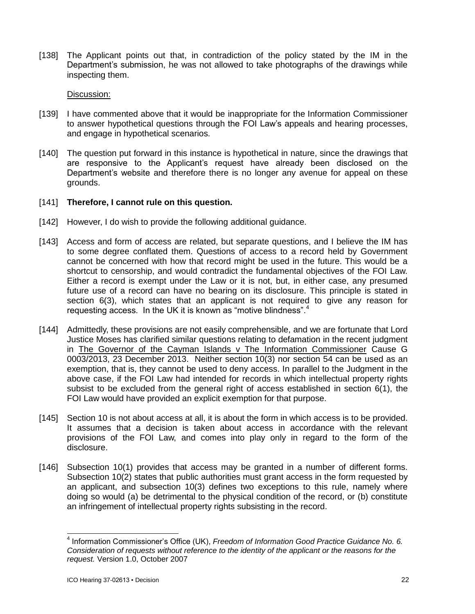[138] The Applicant points out that, in contradiction of the policy stated by the IM in the Department's submission, he was not allowed to take photographs of the drawings while inspecting them.

Discussion:

- [139] I have commented above that it would be inappropriate for the Information Commissioner to answer hypothetical questions through the FOI Law's appeals and hearing processes, and engage in hypothetical scenarios.
- [140] The question put forward in this instance is hypothetical in nature, since the drawings that are responsive to the Applicant's request have already been disclosed on the Department's website and therefore there is no longer any avenue for appeal on these grounds.
- [141] **Therefore, I cannot rule on this question.**
- [142] However, I do wish to provide the following additional guidance.
- [143] Access and form of access are related, but separate questions, and I believe the IM has to some degree conflated them. Questions of access to a record held by Government cannot be concerned with how that record might be used in the future. This would be a shortcut to censorship, and would contradict the fundamental objectives of the FOI Law. Either a record is exempt under the Law or it is not, but, in either case, any presumed future use of a record can have no bearing on its disclosure. This principle is stated in section 6(3), which states that an applicant is not required to give any reason for requesting access. In the UK it is known as "motive blindness".<sup>4</sup>
- [144] Admittedly, these provisions are not easily comprehensible, and we are fortunate that Lord Justice Moses has clarified similar questions relating to defamation in the recent judgment in The Governor of the Cayman Islands v The Information Commissioner Cause G 0003/2013, 23 December 2013. Neither section 10(3) nor section 54 can be used as an exemption, that is, they cannot be used to deny access. In parallel to the Judgment in the above case, if the FOI Law had intended for records in which intellectual property rights subsist to be excluded from the general right of access established in section 6(1), the FOI Law would have provided an explicit exemption for that purpose.
- [145] Section 10 is not about access at all, it is about the form in which access is to be provided. It assumes that a decision is taken about access in accordance with the relevant provisions of the FOI Law, and comes into play only in regard to the form of the disclosure.
- [146] Subsection 10(1) provides that access may be granted in a number of different forms. Subsection 10(2) states that public authorities must grant access in the form requested by an applicant, and subsection 10(3) defines two exceptions to this rule, namely where doing so would (a) be detrimental to the physical condition of the record, or (b) constitute an infringement of intellectual property rights subsisting in the record.

 $\overline{\phantom{a}}$ 4 Information Commissioner's Office (UK), *Freedom of Information Good Practice Guidance No. 6. Consideration of requests without reference to the identity of the applicant or the reasons for the request.* Version 1.0, October 2007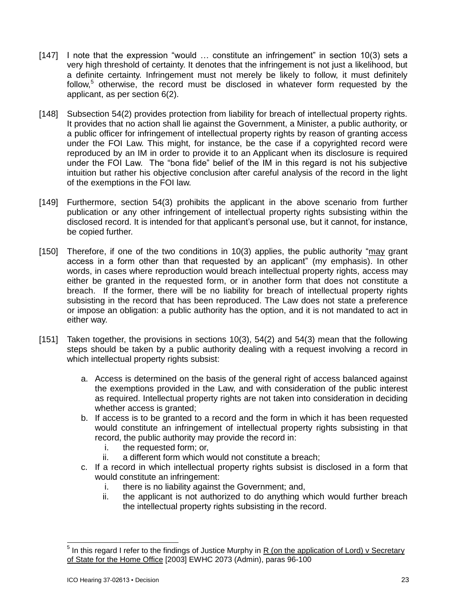- [147] I note that the expression "would ... constitute an infringement" in section 10(3) sets a very high threshold of certainty. It denotes that the infringement is not just a likelihood, but a definite certainty. Infringement must not merely be likely to follow, it must definitely follow,<sup>5</sup> otherwise, the record must be disclosed in whatever form requested by the applicant, as per section 6(2).
- [148] Subsection 54(2) provides protection from liability for breach of intellectual property rights. It provides that no action shall lie against the Government, a Minister, a public authority, or a public officer for infringement of intellectual property rights by reason of granting access under the FOI Law. This might, for instance, be the case if a copyrighted record were reproduced by an IM in order to provide it to an Applicant when its disclosure is required under the FOI Law. The "bona fide" belief of the IM in this regard is not his subjective intuition but rather his objective conclusion after careful analysis of the record in the light of the exemptions in the FOI law.
- [149] Furthermore, section 54(3) prohibits the applicant in the above scenario from further publication or any other infringement of intellectual property rights subsisting within the disclosed record. It is intended for that applicant's personal use, but it cannot, for instance, be copied further.
- [150] Therefore, if one of the two conditions in 10(3) applies, the public authority "may grant access in a form other than that requested by an applicant" (my emphasis). In other words, in cases where reproduction would breach intellectual property rights, access may either be granted in the requested form, or in another form that does not constitute a breach. If the former, there will be no liability for breach of intellectual property rights subsisting in the record that has been reproduced. The Law does not state a preference or impose an obligation: a public authority has the option, and it is not mandated to act in either way.
- [151] Taken together, the provisions in sections 10(3), 54(2) and 54(3) mean that the following steps should be taken by a public authority dealing with a request involving a record in which intellectual property rights subsist:
	- a. Access is determined on the basis of the general right of access balanced against the exemptions provided in the Law, and with consideration of the public interest as required. Intellectual property rights are not taken into consideration in deciding whether access is granted;
	- b. If access is to be granted to a record and the form in which it has been requested would constitute an infringement of intellectual property rights subsisting in that record, the public authority may provide the record in:
		- i. the requested form; or,
		- ii. a different form which would not constitute a breach;
	- c. If a record in which intellectual property rights subsist is disclosed in a form that would constitute an infringement:
		- i. there is no liability against the Government; and,
		- ii. the applicant is not authorized to do anything which would further breach the intellectual property rights subsisting in the record.

<sup>&</sup>lt;u>5</u><br><sup>5</sup> In this regard I refer to the findings of Justice Murphy in <u>R (on the application of Lord) v Secretary</u> of State for the Home Office [2003] EWHC 2073 (Admin), paras 96-100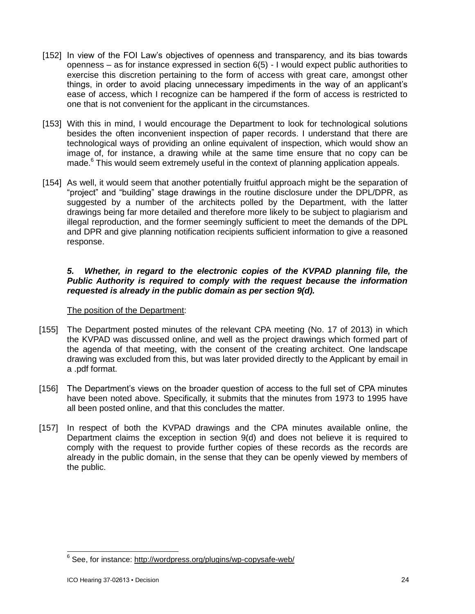- [152] In view of the FOI Law's objectives of openness and transparency, and its bias towards openness – as for instance expressed in section 6(5) - I would expect public authorities to exercise this discretion pertaining to the form of access with great care, amongst other things, in order to avoid placing unnecessary impediments in the way of an applicant's ease of access, which I recognize can be hampered if the form of access is restricted to one that is not convenient for the applicant in the circumstances.
- [153] With this in mind, I would encourage the Department to look for technological solutions besides the often inconvenient inspection of paper records. I understand that there are technological ways of providing an online equivalent of inspection, which would show an image of, for instance, a drawing while at the same time ensure that no copy can be made. <sup>6</sup> This would seem extremely useful in the context of planning application appeals.
- [154] As well, it would seem that another potentially fruitful approach might be the separation of "project" and "building" stage drawings in the routine disclosure under the DPL/DPR, as suggested by a number of the architects polled by the Department, with the latter drawings being far more detailed and therefore more likely to be subject to plagiarism and illegal reproduction, and the former seemingly sufficient to meet the demands of the DPL and DPR and give planning notification recipients sufficient information to give a reasoned response.

# *5. Whether, in regard to the electronic copies of the KVPAD planning file, the Public Authority is required to comply with the request because the information requested is already in the public domain as per section 9(d).*

# The position of the Department:

- [155] The Department posted minutes of the relevant CPA meeting (No. 17 of 2013) in which the KVPAD was discussed online, and well as the project drawings which formed part of the agenda of that meeting, with the consent of the creating architect. One landscape drawing was excluded from this, but was later provided directly to the Applicant by email in a .pdf format.
- [156] The Department's views on the broader question of access to the full set of CPA minutes have been noted above. Specifically, it submits that the minutes from 1973 to 1995 have all been posted online, and that this concludes the matter.
- [157] In respect of both the KVPAD drawings and the CPA minutes available online, the Department claims the exception in section 9(d) and does not believe it is required to comply with the request to provide further copies of these records as the records are already in the public domain, in the sense that they can be openly viewed by members of the public.

 6 See, for instance:<http://wordpress.org/plugins/wp-copysafe-web/>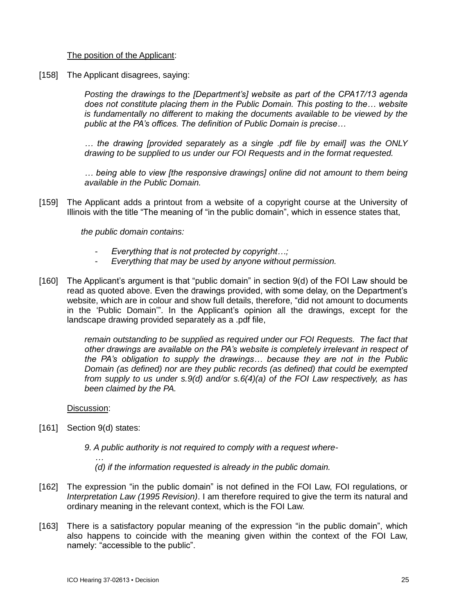# The position of the Applicant:

[158] The Applicant disagrees, saying:

*Posting the drawings to the [Department's] website as part of the CPA17/13 agenda does not constitute placing them in the Public Domain. This posting to the… website is fundamentally no different to making the documents available to be viewed by the public at the PA's offices. The definition of Public Domain is precise…* 

*… the drawing [provided separately as a single .pdf file by email] was the ONLY drawing to be supplied to us under our FOI Requests and in the format requested.*

*… being able to view [the responsive drawings] online did not amount to them being available in the Public Domain.*

[159] The Applicant adds a printout from a website of a copyright course at the University of Illinois with the title "The meaning of "in the public domain", which in essence states that,

*the public domain contains:* 

- *Everything that is not protected by copyright…;*
- *Everything that may be used by anyone without permission.*
- [160] The Applicant's argument is that "public domain" in section 9(d) of the FOI Law should be read as quoted above. Even the drawings provided, with some delay, on the Department's website, which are in colour and show full details, therefore, "did not amount to documents in the 'Public Domain'". In the Applicant's opinion all the drawings, except for the landscape drawing provided separately as a .pdf file,

*remain outstanding to be supplied as required under our FOI Requests. The fact that other drawings are available on the PA's website is completely irrelevant in respect of the PA's obligation to supply the drawings… because they are not in the Public Domain (as defined) nor are they public records (as defined) that could be exempted from supply to us under s.9(d) and/or s.6(4)(a) of the FOI Law respectively, as has been claimed by the PA.*

Discussion:

[161] Section 9(d) states:

*…*

*9. A public authority is not required to comply with a request where-*

*(d) if the information requested is already in the public domain.*

- [162] The expression "in the public domain" is not defined in the FOI Law, FOI regulations, or *Interpretation Law (1995 Revision)*. I am therefore required to give the term its natural and ordinary meaning in the relevant context, which is the FOI Law.
- [163] There is a satisfactory popular meaning of the expression "in the public domain", which also happens to coincide with the meaning given within the context of the FOI Law, namely: "accessible to the public".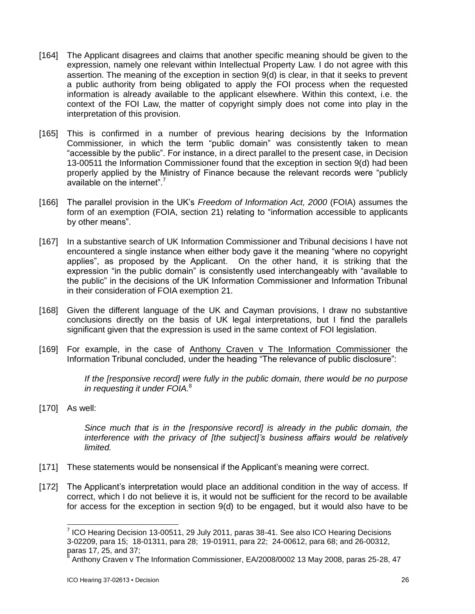- [164] The Applicant disagrees and claims that another specific meaning should be given to the expression, namely one relevant within Intellectual Property Law. I do not agree with this assertion. The meaning of the exception in section 9(d) is clear, in that it seeks to prevent a public authority from being obligated to apply the FOI process when the requested information is already available to the applicant elsewhere. Within this context, i.e. the context of the FOI Law, the matter of copyright simply does not come into play in the interpretation of this provision.
- [165] This is confirmed in a number of previous hearing decisions by the Information Commissioner, in which the term "public domain" was consistently taken to mean "accessible by the public". For instance, in a direct parallel to the present case, in Decision 13-00511 the Information Commissioner found that the exception in section 9(d) had been properly applied by the Ministry of Finance because the relevant records were "publicly available on the internet".<sup>7</sup>
- [166] The parallel provision in the UK's *Freedom of Information Act, 2000* (FOIA) assumes the form of an exemption (FOIA, section 21) relating to "information accessible to applicants by other means".
- [167] In a substantive search of UK Information Commissioner and Tribunal decisions I have not encountered a single instance when either body gave it the meaning "where no copyright applies", as proposed by the Applicant. On the other hand, it is striking that the expression "in the public domain" is consistently used interchangeably with "available to the public" in the decisions of the UK Information Commissioner and Information Tribunal in their consideration of FOIA exemption 21.
- [168] Given the different language of the UK and Cayman provisions, I draw no substantive conclusions directly on the basis of UK legal interpretations, but I find the parallels significant given that the expression is used in the same context of FOI legislation.
- [169] For example, in the case of Anthony Craven v The Information Commissioner the Information Tribunal concluded, under the heading "The relevance of public disclosure":

*If the [responsive record] were fully in the public domain, there would be no purpose in requesting it under FOIA.* 8

[170] As well:

*Since much that is in the [responsive record] is already in the public domain, the interference with the privacy of [the subject]'s business affairs would be relatively limited.*

- [171] These statements would be nonsensical if the Applicant's meaning were correct.
- [172] The Applicant's interpretation would place an additional condition in the way of access. If correct, which I do not believe it is, it would not be sufficient for the record to be available for access for the exception in section 9(d) to be engaged, but it would also have to be

 7 ICO Hearing Decision 13-00511, 29 July 2011, paras 38-41. See also ICO Hearing Decisions 3-02209, para 15; 18-01311, para 28; 19-01911, para 22; 24-00612, para 68; and 26-00312, paras 17, 25, and 37;

<sup>8</sup> Anthony Craven v The Information Commissioner, EA/2008/0002 13 May 2008, paras 25-28, 47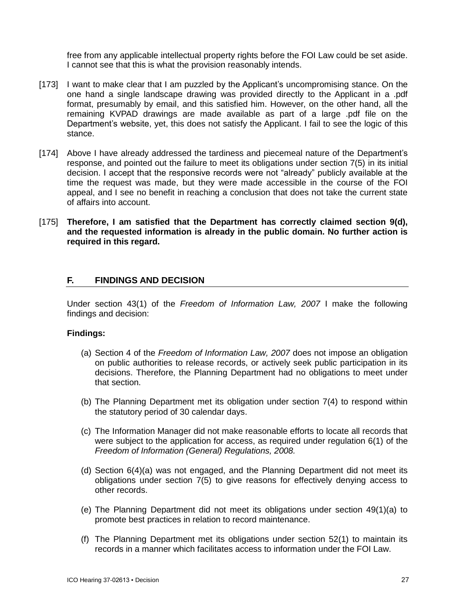free from any applicable intellectual property rights before the FOI Law could be set aside. I cannot see that this is what the provision reasonably intends.

- [173] I want to make clear that I am puzzled by the Applicant's uncompromising stance. On the one hand a single landscape drawing was provided directly to the Applicant in a .pdf format, presumably by email, and this satisfied him. However, on the other hand, all the remaining KVPAD drawings are made available as part of a large .pdf file on the Department's website, yet, this does not satisfy the Applicant. I fail to see the logic of this stance.
- [174] Above I have already addressed the tardiness and piecemeal nature of the Department's response, and pointed out the failure to meet its obligations under section 7(5) in its initial decision. I accept that the responsive records were not "already" publicly available at the time the request was made, but they were made accessible in the course of the FOI appeal, and I see no benefit in reaching a conclusion that does not take the current state of affairs into account.
- [175] **Therefore, I am satisfied that the Department has correctly claimed section 9(d), and the requested information is already in the public domain. No further action is required in this regard.**

# **F. FINDINGS AND DECISION**

Under section 43(1) of the *Freedom of Information Law, 2007* I make the following findings and decision:

### **Findings:**

- (a) Section 4 of the *Freedom of Information Law, 2007* does not impose an obligation on public authorities to release records, or actively seek public participation in its decisions. Therefore, the Planning Department had no obligations to meet under that section.
- (b) The Planning Department met its obligation under section 7(4) to respond within the statutory period of 30 calendar days.
- (c) The Information Manager did not make reasonable efforts to locate all records that were subject to the application for access, as required under regulation 6(1) of the *Freedom of Information (General) Regulations, 2008.*
- (d) Section 6(4)(a) was not engaged, and the Planning Department did not meet its obligations under section 7(5) to give reasons for effectively denying access to other records.
- (e) The Planning Department did not meet its obligations under section 49(1)(a) to promote best practices in relation to record maintenance.
- (f) The Planning Department met its obligations under section 52(1) to maintain its records in a manner which facilitates access to information under the FOI Law.